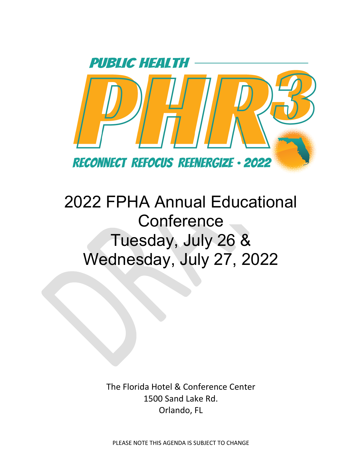

## 2022 FPHA Annual Educational **Conference** Tuesday, July 26 & Wednesday, July 27, 2022

The Florida Hotel & Conference Center 1500 Sand Lake Rd. Orlando, FL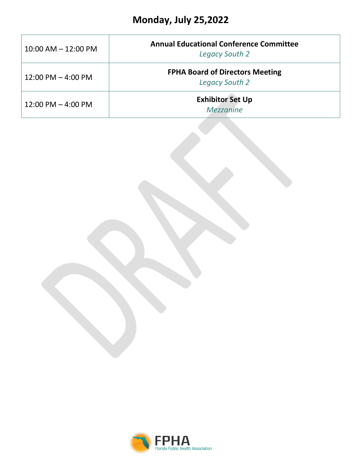| $10:00$ AM $- 12:00$ PM              | <b>Annual Educational Conference Committee</b><br><b>Legacy South 2</b> |  |  |
|--------------------------------------|-------------------------------------------------------------------------|--|--|
| $12:00 \text{ PM} - 4:00 \text{ PM}$ | <b>FPHA Board of Directors Meeting</b><br><b>Legacy South 2</b>         |  |  |
| $12:00 \text{ PM} - 4:00 \text{ PM}$ | <b>Exhibitor Set Up</b><br>Mezzanine                                    |  |  |

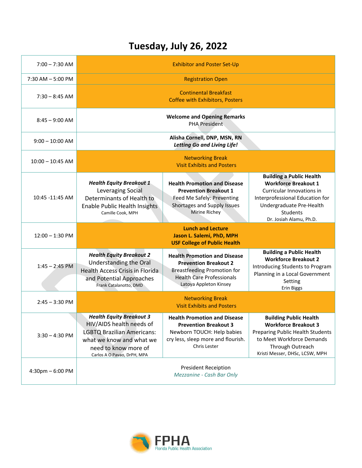## **Tuesday, July 26, 2022**

| $7:00 - 7:30$ AM     |                                                                                                                                                                                     | <b>Exhibitor and Poster Set-Up</b>                                                                                                                                      |                                                                                                                                                                                                   |  |
|----------------------|-------------------------------------------------------------------------------------------------------------------------------------------------------------------------------------|-------------------------------------------------------------------------------------------------------------------------------------------------------------------------|---------------------------------------------------------------------------------------------------------------------------------------------------------------------------------------------------|--|
| $7:30$ AM $-5:00$ PM | <b>Registration Open</b>                                                                                                                                                            |                                                                                                                                                                         |                                                                                                                                                                                                   |  |
| $7:30 - 8:45$ AM     |                                                                                                                                                                                     | <b>Continental Breakfast</b><br><b>Coffee with Exhibitors, Posters</b>                                                                                                  |                                                                                                                                                                                                   |  |
| $8:45 - 9:00$ AM     | <b>Welcome and Opening Remarks</b><br><b>PHA President</b>                                                                                                                          |                                                                                                                                                                         |                                                                                                                                                                                                   |  |
| $9:00 - 10:00$ AM    | Alisha Cornell, DNP, MSN, RN<br><b>Letting Go and Living Life!</b>                                                                                                                  |                                                                                                                                                                         |                                                                                                                                                                                                   |  |
| $10:00 - 10:45$ AM   | <b>Networking Break</b><br><b>Visit Exhibits and Posters</b>                                                                                                                        |                                                                                                                                                                         |                                                                                                                                                                                                   |  |
| 10:45 -11:45 AM      | <b>Health Equity Breakout 1</b><br>Leveraging Social<br>Determinants of Health to<br>Enable Public Health Insights<br>Camille Cook, MPH                                             | <b>Health Promotion and Disease</b><br><b>Prevention Breakout 1</b><br>Feed Me Safely: Preventing<br>Shortages and Supply Issues<br>Mirine Richey                       | <b>Building a Public Health</b><br><b>Workforce Breakout 1</b><br>Curricular Innovations in<br>Interprofessional Education for<br>Undergraduate Pre-Health<br>Students<br>Dr. Josiah Alamu, Ph.D. |  |
| $12:00 - 1:30$ PM    | <b>Lunch and Lecture</b><br>Jason L. Salemi, PhD, MPH<br><b>USF College of Public Health</b>                                                                                        |                                                                                                                                                                         |                                                                                                                                                                                                   |  |
| $1:45 - 2:45$ PM     | <b>Health Equity Breakout 2</b><br><b>Understanding the Oral</b><br><b>Health Access Crisis in Florida</b><br>and Potential Approaches<br>Frank Catalanotto, DMD                    | <b>Health Promotion and Disease</b><br><b>Prevention Breakout 2</b><br><b>Breastfeeding Promotion for</b><br><b>Health Care Professionals</b><br>Latoya Appleton Kinsey | <b>Building a Public Health</b><br><b>Workforce Breakout 2</b><br>Introducing Students to Program<br>Planning in a Local Government<br>Setting<br><b>Erin Biggs</b>                               |  |
| $2:45 - 3:30$ PM     | <b>Networking Break</b><br><b>Visit Exhibits and Posters</b>                                                                                                                        |                                                                                                                                                                         |                                                                                                                                                                                                   |  |
| $3:30 - 4:30$ PM     | <b>Health Equity Breakout 3</b><br>HIV/AIDS health needs of<br><b>LGBTQ Brazilian Americans:</b><br>what we know and what we<br>need to know more of<br>Carlos A O Pavao, DrPH, MPA | <b>Health Promotion and Disease</b><br><b>Prevention Breakout 3</b><br>Newborn TOUCH: Help babies<br>cry less, sleep more and flourish.<br>Chris Lester                 | <b>Building Public Health</b><br><b>Workforce Breakout 3</b><br>Preparing Public Health Students<br>to Meet Workforce Demands<br>Through Outreach<br>Kristi Messer, DHSc, LCSW, MPH               |  |
| 4:30pm - 6:00 PM     | <b>President Receiption</b><br>Mezzanine - Cash Bar Only                                                                                                                            |                                                                                                                                                                         |                                                                                                                                                                                                   |  |